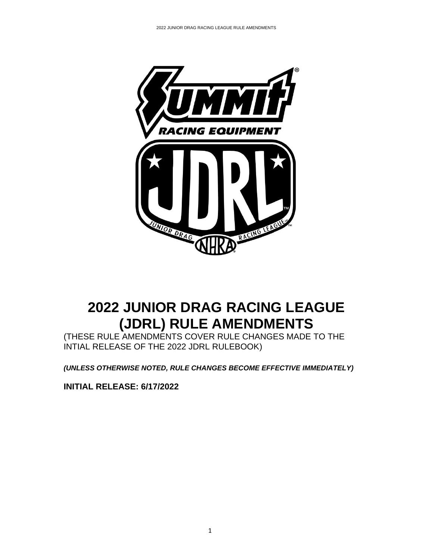

# **2022 JUNIOR DRAG RACING LEAGUE (JDRL) RULE AMENDMENTS**

(THESE RULE AMENDMENTS COVER RULE CHANGES MADE TO THE INTIAL RELEASE OF THE 2022 JDRL RULEBOOK)

*(UNLESS OTHERWISE NOTED, RULE CHANGES BECOME EFFECTIVE IMMEDIATELY)*

**INITIAL RELEASE: 6/17/2022**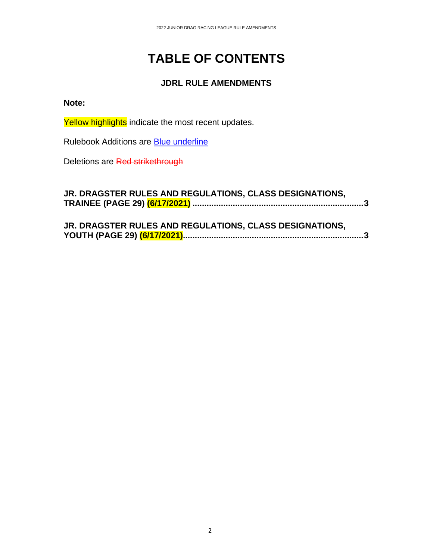# **TABLE OF CONTENTS**

## **JDRL RULE AMENDMENTS**

## **Note:**

Yellow highlights indicate the most recent updates.

Rulebook Additions are **Blue underline** 

Deletions are Red strikethrough

| JR. DRAGSTER RULES AND REGULATIONS, CLASS DESIGNATIONS, |  |  |
|---------------------------------------------------------|--|--|
|                                                         |  |  |
|                                                         |  |  |
|                                                         |  |  |

| JR. DRAGSTER RULES AND REGULATIONS, CLASS DESIGNATIONS, |  |  |
|---------------------------------------------------------|--|--|
|                                                         |  |  |